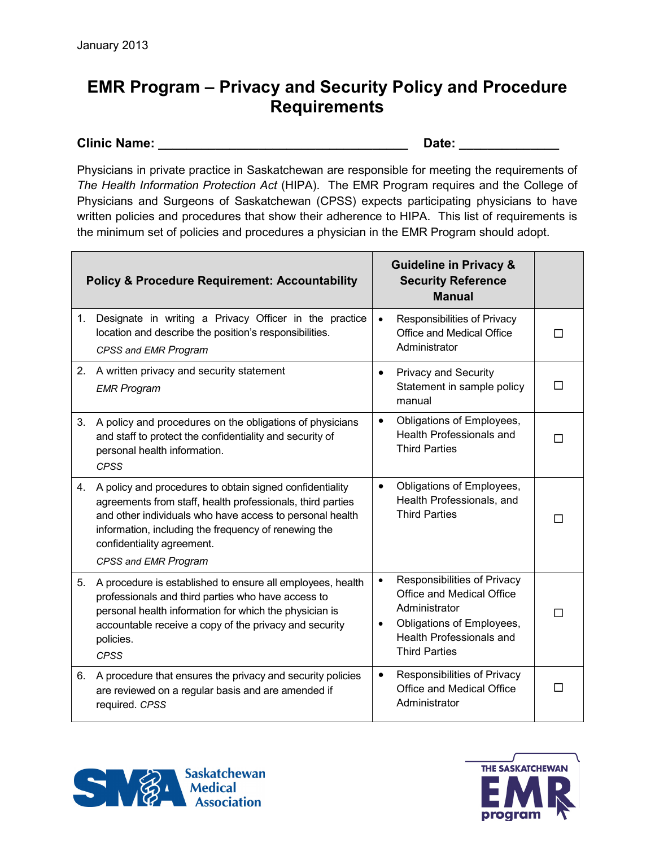## **EMR Program – Privacy and Security Policy and Procedure Requirements**

## **Clinic Name:**  $\qquad \qquad$  **Date:**  $\qquad \qquad$

Physicians in private practice in Saskatchewan are responsible for meeting the requirements of *The Health Information Protection Act* (HIPA). The EMR Program requires and the College of Physicians and Surgeons of Saskatchewan (CPSS) expects participating physicians to have written policies and procedures that show their adherence to HIPA. This list of requirements is the minimum set of policies and procedures a physician in the EMR Program should adopt.

|    | <b>Policy &amp; Procedure Requirement: Accountability</b>                                                                                                                                                                                                                                        |                        | <b>Guideline in Privacy &amp;</b><br><b>Security Reference</b><br><b>Manual</b>                                                                                   |   |
|----|--------------------------------------------------------------------------------------------------------------------------------------------------------------------------------------------------------------------------------------------------------------------------------------------------|------------------------|-------------------------------------------------------------------------------------------------------------------------------------------------------------------|---|
| 1. | Designate in writing a Privacy Officer in the practice<br>location and describe the position's responsibilities.<br>CPSS and EMR Program                                                                                                                                                         | $\bullet$              | Responsibilities of Privacy<br>Office and Medical Office<br>Administrator                                                                                         | П |
| 2. | A written privacy and security statement<br><b>EMR Program</b>                                                                                                                                                                                                                                   | $\bullet$              | <b>Privacy and Security</b><br>Statement in sample policy<br>manual                                                                                               | П |
| 3. | A policy and procedures on the obligations of physicians<br>and staff to protect the confidentiality and security of<br>personal health information.<br><b>CPSS</b>                                                                                                                              | $\bullet$              | Obligations of Employees,<br>Health Professionals and<br><b>Third Parties</b>                                                                                     | П |
| 4. | A policy and procedures to obtain signed confidentiality<br>agreements from staff, health professionals, third parties<br>and other individuals who have access to personal health<br>information, including the frequency of renewing the<br>confidentiality agreement.<br>CPSS and EMR Program | $\bullet$              | Obligations of Employees,<br>Health Professionals, and<br><b>Third Parties</b>                                                                                    |   |
| 5. | A procedure is established to ensure all employees, health<br>professionals and third parties who have access to<br>personal health information for which the physician is<br>accountable receive a copy of the privacy and security<br>policies.<br><b>CPSS</b>                                 | $\bullet$<br>$\bullet$ | Responsibilities of Privacy<br>Office and Medical Office<br>Administrator<br>Obligations of Employees,<br><b>Health Professionals and</b><br><b>Third Parties</b> | П |
| 6. | A procedure that ensures the privacy and security policies<br>are reviewed on a regular basis and are amended if<br>required. CPSS                                                                                                                                                               | $\bullet$              | Responsibilities of Privacy<br>Office and Medical Office<br>Administrator                                                                                         | П |



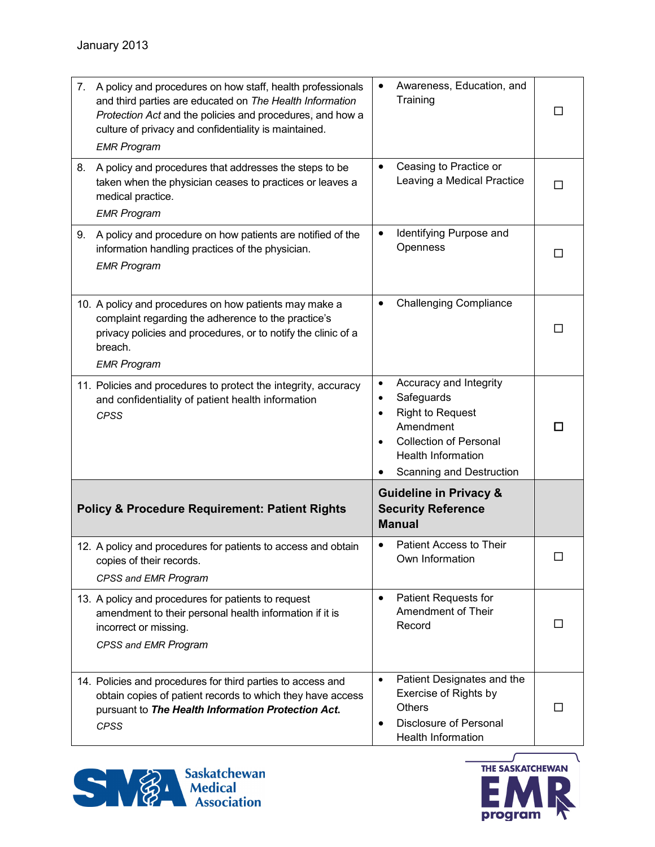| 7.                                                        | A policy and procedures on how staff, health professionals<br>and third parties are educated on The Health Information<br>Protection Act and the policies and procedures, and how a<br>culture of privacy and confidentiality is maintained.<br><b>EMR Program</b> |                             | Awareness, Education, and<br>Training                                                                                                                                  | □      |
|-----------------------------------------------------------|--------------------------------------------------------------------------------------------------------------------------------------------------------------------------------------------------------------------------------------------------------------------|-----------------------------|------------------------------------------------------------------------------------------------------------------------------------------------------------------------|--------|
| 8.                                                        | A policy and procedures that addresses the steps to be<br>taken when the physician ceases to practices or leaves a<br>medical practice.<br><b>EMR Program</b>                                                                                                      | $\bullet$                   | Ceasing to Practice or<br>Leaving a Medical Practice                                                                                                                   | П      |
| 9.                                                        | A policy and procedure on how patients are notified of the<br>information handling practices of the physician.<br><b>EMR Program</b>                                                                                                                               | $\bullet$                   | Identifying Purpose and<br>Openness                                                                                                                                    | П      |
|                                                           | 10. A policy and procedures on how patients may make a<br>complaint regarding the adherence to the practice's<br>privacy policies and procedures, or to notify the clinic of a<br>breach.<br><b>EMR Program</b>                                                    | $\bullet$                   | <b>Challenging Compliance</b>                                                                                                                                          | Ш      |
|                                                           | 11. Policies and procedures to protect the integrity, accuracy<br>and confidentiality of patient health information<br><b>CPSS</b>                                                                                                                                 | $\bullet$<br>٠<br>$\bullet$ | Accuracy and Integrity<br>Safeguards<br><b>Right to Request</b><br>Amendment<br><b>Collection of Personal</b><br><b>Health Information</b><br>Scanning and Destruction | П      |
| <b>Policy &amp; Procedure Requirement: Patient Rights</b> |                                                                                                                                                                                                                                                                    |                             | <b>Guideline in Privacy &amp;</b><br><b>Security Reference</b><br><b>Manual</b>                                                                                        |        |
|                                                           | 12. A policy and procedures for patients to access and obtain<br>copies of their records.<br>CPSS and EMR Program                                                                                                                                                  | $\bullet$                   | Patient Access to Their<br>Own Information                                                                                                                             | $\Box$ |
|                                                           | 13. A policy and procedures for patients to request<br>amendment to their personal health information if it is<br>incorrect or missing.<br>CPSS and EMR Program                                                                                                    | $\bullet$                   | Patient Requests for<br>Amendment of Their<br>Record                                                                                                                   | ΙI     |
|                                                           | 14. Policies and procedures for third parties to access and<br>obtain copies of patient records to which they have access<br>pursuant to The Health Information Protection Act.<br><b>CPSS</b>                                                                     | $\bullet$<br>$\bullet$      | Patient Designates and the<br>Exercise of Rights by<br><b>Others</b><br>Disclosure of Personal<br><b>Health Information</b>                                            | П      |



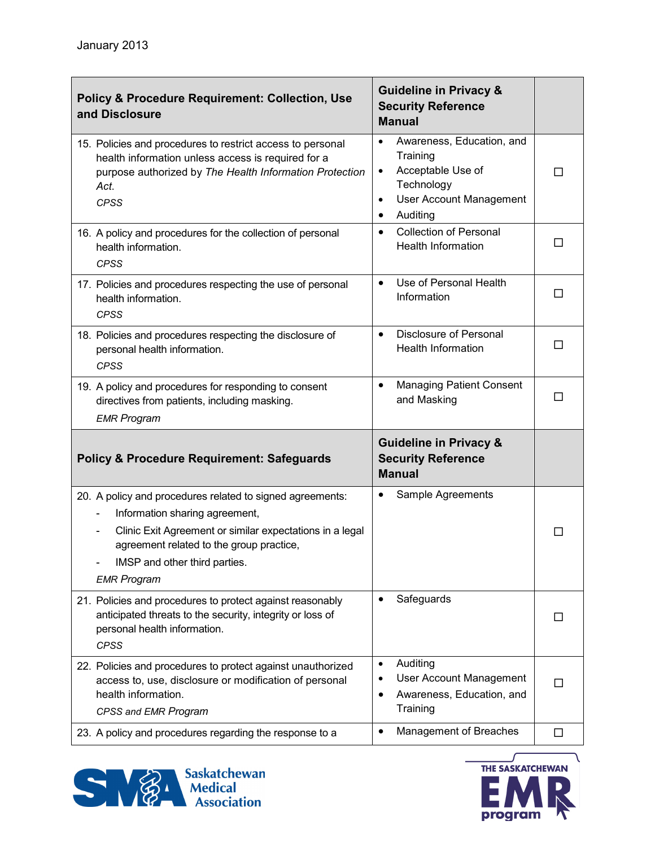| <b>Policy &amp; Procedure Requirement: Collection, Use</b><br>and Disclosure                                                                                                                       | <b>Guideline in Privacy &amp;</b><br><b>Security Reference</b><br><b>Manual</b>                                                                            |    |
|----------------------------------------------------------------------------------------------------------------------------------------------------------------------------------------------------|------------------------------------------------------------------------------------------------------------------------------------------------------------|----|
| 15. Policies and procedures to restrict access to personal<br>health information unless access is required for a<br>purpose authorized by The Health Information Protection<br>Act.<br><b>CPSS</b> | Awareness, Education, and<br>$\bullet$<br>Training<br>Acceptable Use of<br>$\bullet$<br>Technology<br><b>User Account Management</b><br>٠<br>Auditing<br>٠ | П  |
| 16. A policy and procedures for the collection of personal<br>health information.<br><b>CPSS</b>                                                                                                   | <b>Collection of Personal</b><br>$\bullet$<br><b>Health Information</b>                                                                                    | П  |
| 17. Policies and procedures respecting the use of personal<br>health information.<br><b>CPSS</b>                                                                                                   | Use of Personal Health<br>$\bullet$<br>Information                                                                                                         | Ш  |
| 18. Policies and procedures respecting the disclosure of<br>personal health information.<br><b>CPSS</b>                                                                                            | Disclosure of Personal<br>$\bullet$<br><b>Health Information</b>                                                                                           | Ш  |
| 19. A policy and procedures for responding to consent<br>directives from patients, including masking.<br><b>EMR Program</b>                                                                        | <b>Managing Patient Consent</b><br>$\bullet$<br>and Masking                                                                                                | ш  |
| <b>Policy &amp; Procedure Requirement: Safeguards</b>                                                                                                                                              | <b>Guideline in Privacy &amp;</b><br><b>Security Reference</b><br><b>Manual</b>                                                                            |    |
| 20. A policy and procedures related to signed agreements:<br>Information sharing agreement,                                                                                                        | Sample Agreements<br>٠                                                                                                                                     |    |
| Clinic Exit Agreement or similar expectations in a legal<br>agreement related to the group practice,<br>IMSP and other third parties.<br><b>EMR Program</b>                                        |                                                                                                                                                            |    |
| 21. Policies and procedures to protect against reasonably<br>anticipated threats to the security, integrity or loss of<br>personal health information.<br><b>CPSS</b>                              | Safeguards<br>$\bullet$                                                                                                                                    | П  |
| 22. Policies and procedures to protect against unauthorized<br>access to, use, disclosure or modification of personal<br>health information.<br>CPSS and EMR Program                               | Auditing<br>$\bullet$<br><b>User Account Management</b><br>Awareness, Education, and<br>Training                                                           | ΙI |